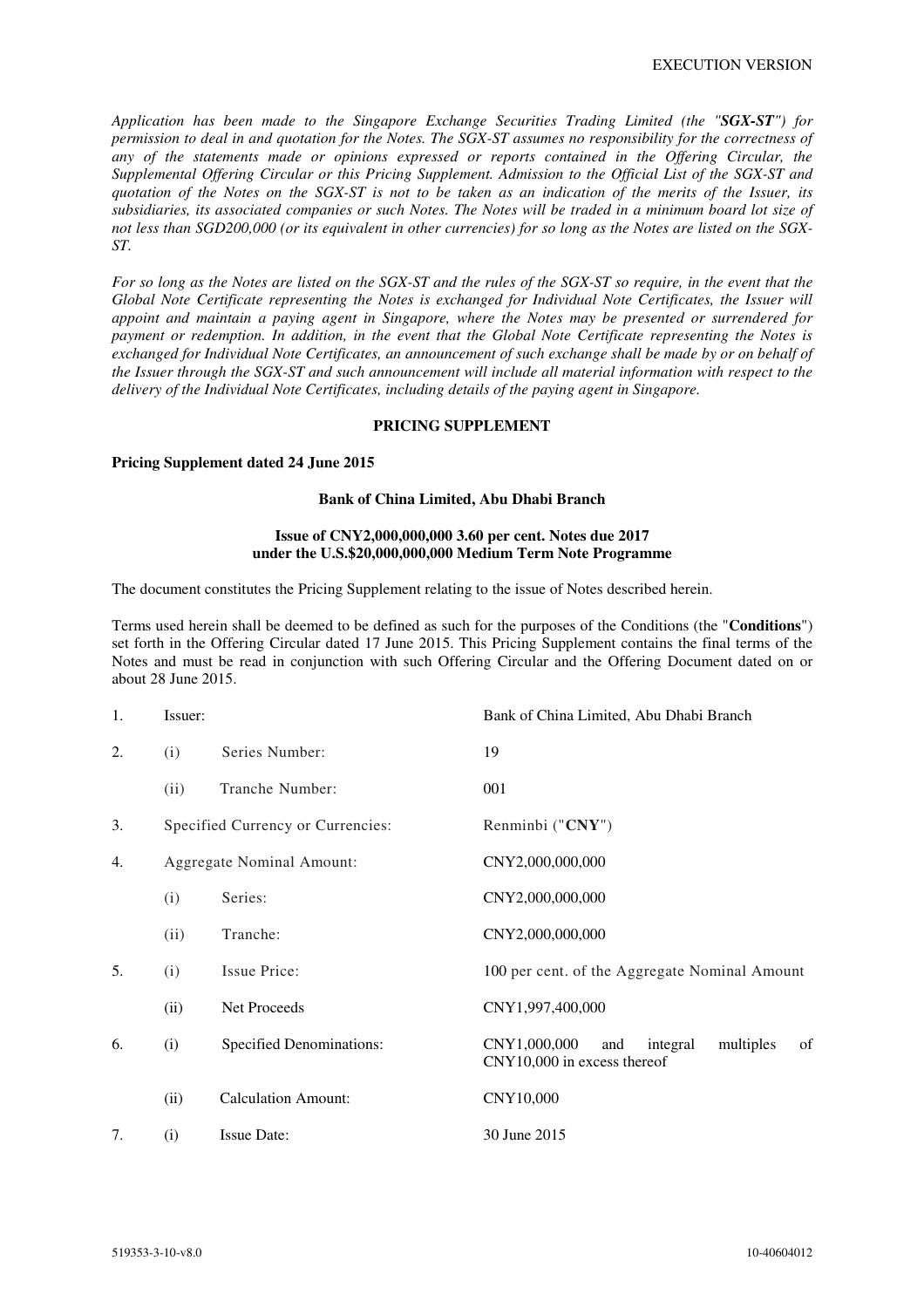*Application has been made to the Singapore Exchange Securities Trading Limited (the "SGX-ST") for permission to deal in and quotation for the Notes. The SGX-ST assumes no responsibility for the correctness of any of the statements made or opinions expressed or reports contained in the Offering Circular, the Supplemental Offering Circular or this Pricing Supplement. Admission to the Official List of the SGX-ST and quotation of the Notes on the SGX-ST is not to be taken as an indication of the merits of the Issuer, its subsidiaries, its associated companies or such Notes. The Notes will be traded in a minimum board lot size of not less than SGD200,000 (or its equivalent in other currencies) for so long as the Notes are listed on the SGX-ST.* 

*For so long as the Notes are listed on the SGX-ST and the rules of the SGX-ST so require, in the event that the Global Note Certificate representing the Notes is exchanged for Individual Note Certificates, the Issuer will appoint and maintain a paying agent in Singapore, where the Notes may be presented or surrendered for payment or redemption. In addition, in the event that the Global Note Certificate representing the Notes is exchanged for Individual Note Certificates, an announcement of such exchange shall be made by or on behalf of the Issuer through the SGX-ST and such announcement will include all material information with respect to the delivery of the Individual Note Certificates, including details of the paying agent in Singapore.* 

#### **PRICING SUPPLEMENT**

#### **Pricing Supplement dated 24 June 2015**

#### **Bank of China Limited, Abu Dhabi Branch**

### **Issue of CNY2,000,000,000 3.60 per cent. Notes due 2017 under the U.S.\$20,000,000,000 Medium Term Note Programme**

The document constitutes the Pricing Supplement relating to the issue of Notes described herein.

Terms used herein shall be deemed to be defined as such for the purposes of the Conditions (the "**Conditions**") set forth in the Offering Circular dated 17 June 2015. This Pricing Supplement contains the final terms of the Notes and must be read in conjunction with such Offering Circular and the Offering Document dated on or about 28 June 2015.

| 1. | Issuer:                   |                                   | Bank of China Limited, Abu Dhabi Branch                                           |
|----|---------------------------|-----------------------------------|-----------------------------------------------------------------------------------|
| 2. | (i)                       | Series Number:                    | 19                                                                                |
|    | (ii)                      | Tranche Number:                   | 001                                                                               |
| 3. |                           | Specified Currency or Currencies: | Renminbi ("CNY")                                                                  |
| 4. | Aggregate Nominal Amount: |                                   | CNY2,000,000,000                                                                  |
|    | (i)                       | Series:                           | CNY2,000,000,000                                                                  |
|    | (ii)                      | Tranche:                          | CNY2,000,000,000                                                                  |
| 5. | (i)                       | Issue Price:                      | 100 per cent. of the Aggregate Nominal Amount                                     |
|    | (ii)                      | Net Proceeds                      | CNY1,997,400,000                                                                  |
| 6. | (i)                       | <b>Specified Denominations:</b>   | CNY1,000,000<br>integral<br>multiples<br>and<br>of<br>CNY10,000 in excess thereof |
|    | (ii)                      | <b>Calculation Amount:</b>        | CNY10,000                                                                         |
| 7. | (i)                       | <b>Issue Date:</b>                | 30 June 2015                                                                      |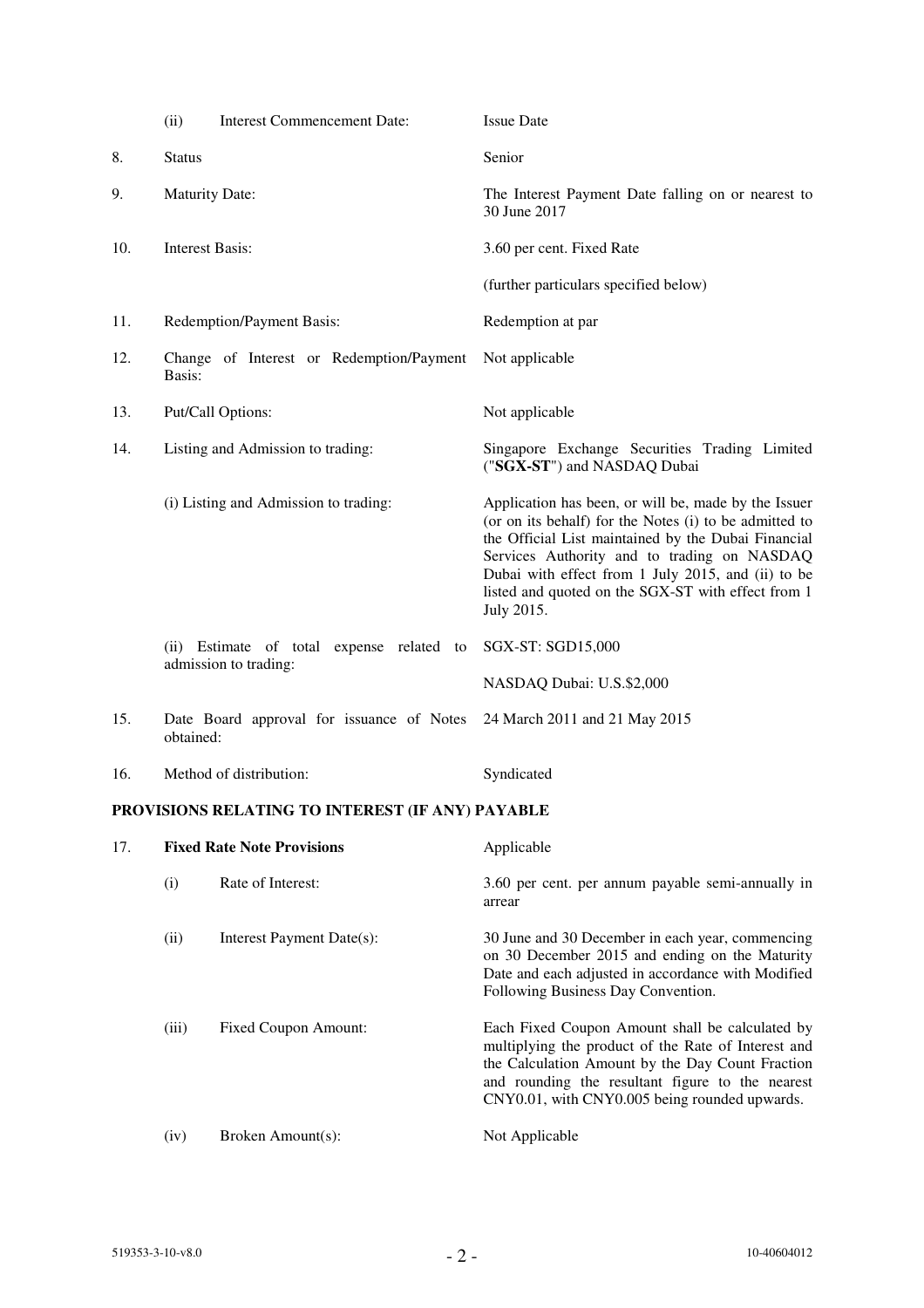|     | <b>Interest Commencement Date:</b><br>(ii)                         | <b>Issue Date</b>                                                                                                                                                                                                                                                                                                                              |
|-----|--------------------------------------------------------------------|------------------------------------------------------------------------------------------------------------------------------------------------------------------------------------------------------------------------------------------------------------------------------------------------------------------------------------------------|
| 8.  | <b>Status</b>                                                      | Senior                                                                                                                                                                                                                                                                                                                                         |
| 9.  | <b>Maturity Date:</b>                                              | The Interest Payment Date falling on or nearest to<br>30 June 2017                                                                                                                                                                                                                                                                             |
| 10. | <b>Interest Basis:</b>                                             | 3.60 per cent. Fixed Rate                                                                                                                                                                                                                                                                                                                      |
|     |                                                                    | (further particulars specified below)                                                                                                                                                                                                                                                                                                          |
| 11. | Redemption/Payment Basis:                                          | Redemption at par                                                                                                                                                                                                                                                                                                                              |
| 12. | Change of Interest or Redemption/Payment<br>Basis:                 | Not applicable                                                                                                                                                                                                                                                                                                                                 |
| 13. | Put/Call Options:                                                  | Not applicable                                                                                                                                                                                                                                                                                                                                 |
| 14. | Listing and Admission to trading:                                  | Singapore Exchange Securities Trading Limited<br>("SGX-ST") and NASDAQ Dubai                                                                                                                                                                                                                                                                   |
|     | (i) Listing and Admission to trading:                              | Application has been, or will be, made by the Issuer<br>(or on its behalf) for the Notes (i) to be admitted to<br>the Official List maintained by the Dubai Financial<br>Services Authority and to trading on NASDAQ<br>Dubai with effect from 1 July 2015, and (ii) to be<br>listed and quoted on the SGX-ST with effect from 1<br>July 2015. |
|     | (ii) Estimate of total expense related to<br>admission to trading: | SGX-ST: SGD15,000                                                                                                                                                                                                                                                                                                                              |
|     |                                                                    | NASDAQ Dubai: U.S.\$2,000                                                                                                                                                                                                                                                                                                                      |
| 15. | Date Board approval for issuance of Notes<br>obtained:             | 24 March 2011 and 21 May 2015                                                                                                                                                                                                                                                                                                                  |
| 16. | Method of distribution:                                            | Syndicated                                                                                                                                                                                                                                                                                                                                     |

# **PROVISIONS RELATING TO INTEREST (IF ANY) PAYABLE**

| 17. |       | <b>Fixed Rate Note Provisions</b> | Applicable                                                                                                                                                                                                                                                      |  |
|-----|-------|-----------------------------------|-----------------------------------------------------------------------------------------------------------------------------------------------------------------------------------------------------------------------------------------------------------------|--|
|     | (i)   | Rate of Interest:                 | 3.60 per cent. per annum payable semi-annually in<br>arrear                                                                                                                                                                                                     |  |
|     | (ii)  | Interest Payment Date(s):         | 30 June and 30 December in each year, commencing<br>on 30 December 2015 and ending on the Maturity<br>Date and each adjusted in accordance with Modified<br>Following Business Day Convention.                                                                  |  |
|     | (iii) | <b>Fixed Coupon Amount:</b>       | Each Fixed Coupon Amount shall be calculated by<br>multiplying the product of the Rate of Interest and<br>the Calculation Amount by the Day Count Fraction<br>and rounding the resultant figure to the nearest<br>CNY0.01, with CNY0.005 being rounded upwards. |  |
|     | (iv)  | Broken Amount(s):                 | Not Applicable                                                                                                                                                                                                                                                  |  |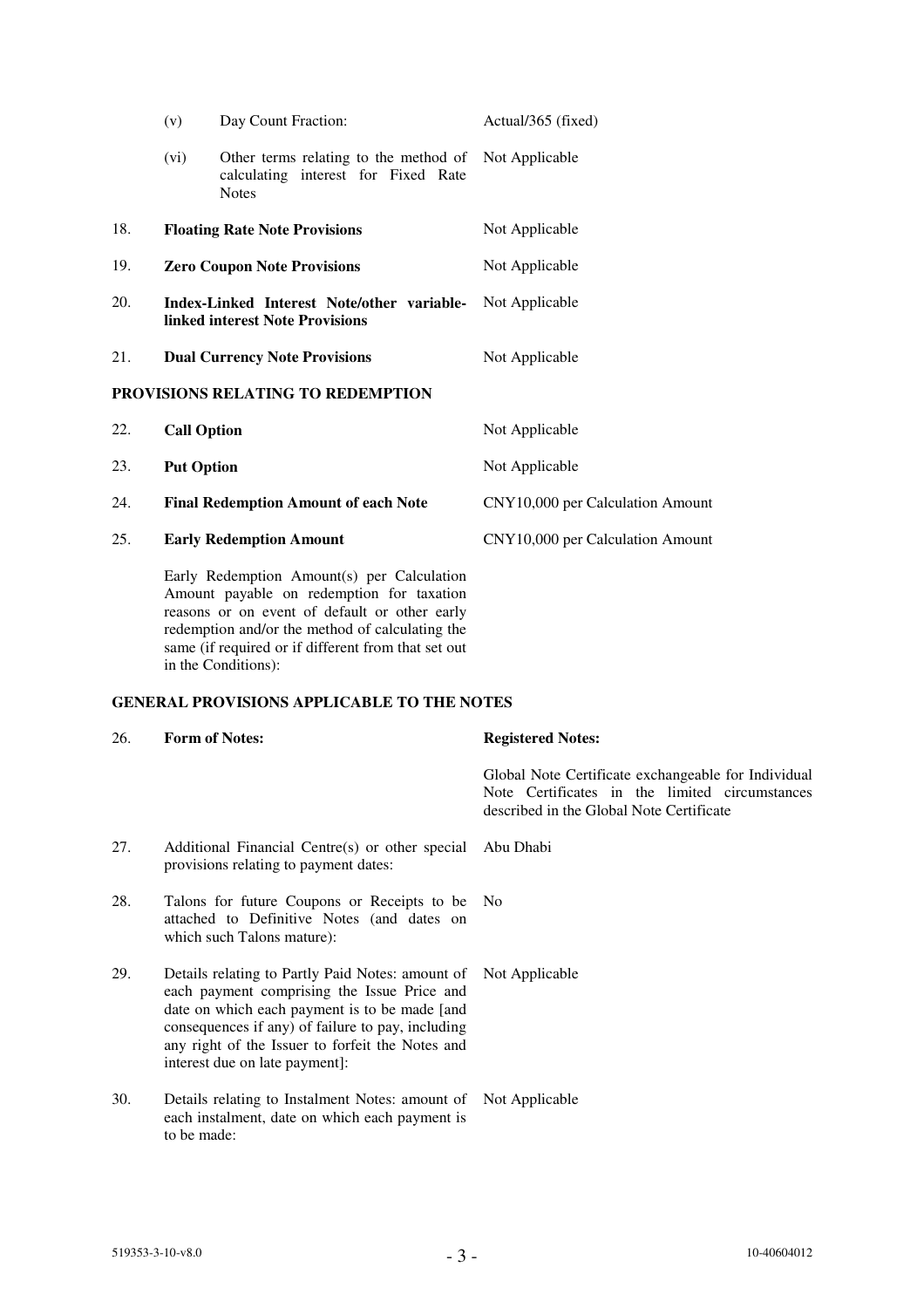|     | (v)                                                                                  | Day Count Fraction:                                                                          | Actual/365 (fixed)               |
|-----|--------------------------------------------------------------------------------------|----------------------------------------------------------------------------------------------|----------------------------------|
|     | (vi)                                                                                 | Other terms relating to the method of<br>calculating interest for Fixed Rate<br><b>Notes</b> | Not Applicable                   |
| 18. |                                                                                      | <b>Floating Rate Note Provisions</b>                                                         | Not Applicable                   |
| 19. | <b>Zero Coupon Note Provisions</b>                                                   |                                                                                              | Not Applicable                   |
| 20. | Index-Linked Interest Note/other variable-<br><b>linked interest Note Provisions</b> |                                                                                              | Not Applicable                   |
| 21. |                                                                                      | <b>Dual Currency Note Provisions</b>                                                         | Not Applicable                   |
|     |                                                                                      | PROVISIONS RELATING TO REDEMPTION                                                            |                                  |
| 22. | <b>Call Option</b>                                                                   |                                                                                              | Not Applicable                   |
| 23. | <b>Put Option</b>                                                                    |                                                                                              | Not Applicable                   |
| 24. |                                                                                      | <b>Final Redemption Amount of each Note</b>                                                  | CNY10,000 per Calculation Amount |
| 25. |                                                                                      | <b>Early Redemption Amount</b>                                                               | CNY10,000 per Calculation Amount |
|     |                                                                                      | Early Redemption Amount(s) per Calculation<br>Amount payable on redemption for taxation      |                                  |

Amount payable on redemption for taxation reasons or on event of default or other early redemption and/or the method of calculating the same (if required or if different from that set out in the Conditions):

### **GENERAL PROVISIONS APPLICABLE TO THE NOTES**

26. **Form of Notes: Registered Notes:** 

- Global Note Certificate exchangeable for Individual Note Certificates in the limited circumstances described in the Global Note Certificate 27. Additional Financial Centre(s) or other special provisions relating to payment dates: Abu Dhabi 28. Talons for future Coupons or Receipts to be attached to Definitive Notes (and dates on which such Talons mature): No 29. Details relating to Partly Paid Notes: amount of each payment comprising the Issue Price and date on which each payment is to be made [and consequences if any) of failure to pay, including any right of the Issuer to forfeit the Notes and interest due on late payment]: Not Applicable
	- 30. Details relating to Instalment Notes: amount of Not Applicable each instalment, date on which each payment is to be made: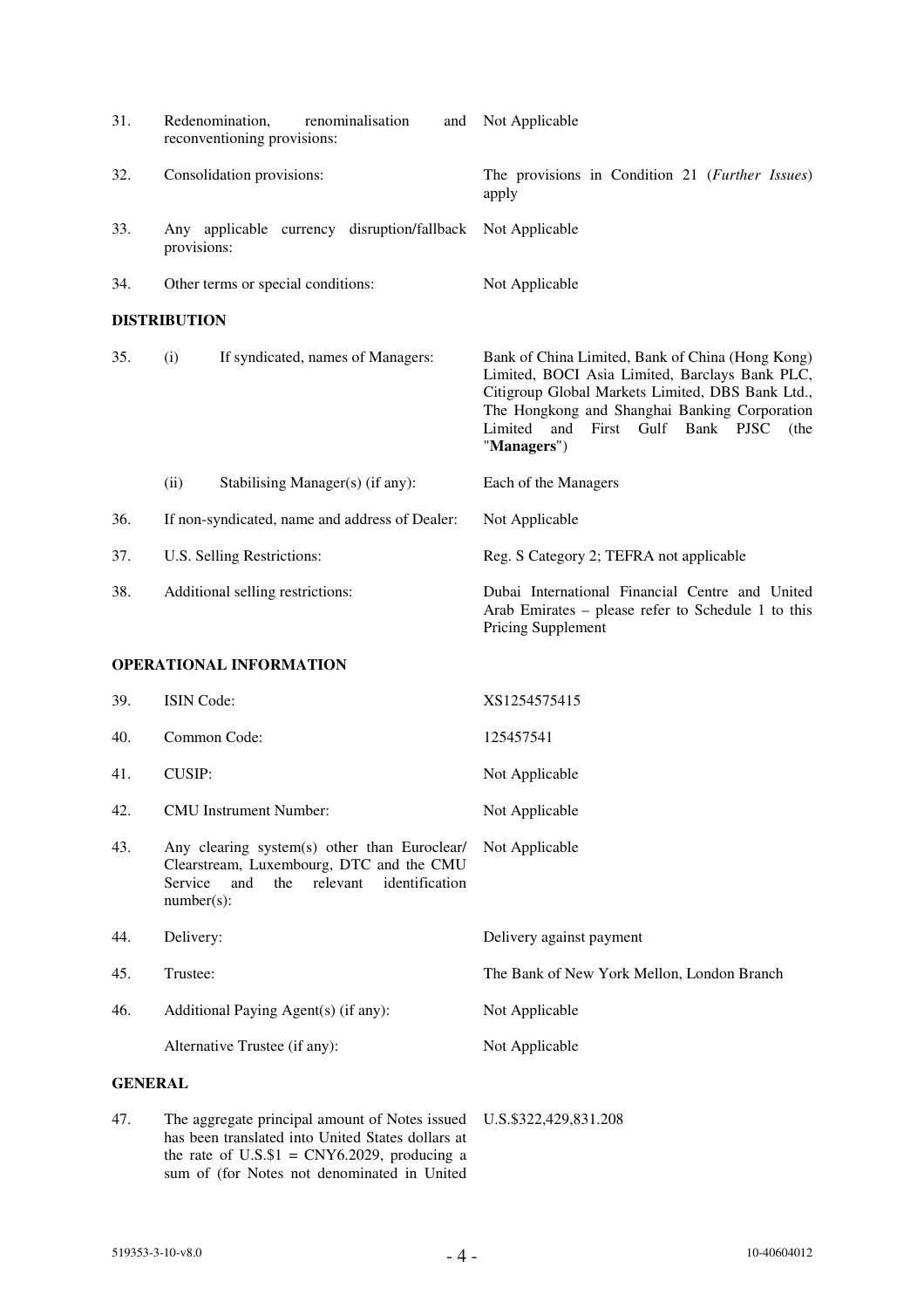| 31.            | Redenomination,<br>renominalisation<br>and<br>reconventioning provisions:                                                                                        | Not Applicable                                                                                                                                                                                                                                                           |
|----------------|------------------------------------------------------------------------------------------------------------------------------------------------------------------|--------------------------------------------------------------------------------------------------------------------------------------------------------------------------------------------------------------------------------------------------------------------------|
| 32.            | Consolidation provisions:                                                                                                                                        | The provisions in Condition 21 ( <i>Further Issues</i> )<br>apply                                                                                                                                                                                                        |
| 33.            | Any applicable currency disruption/fallback<br>provisions:                                                                                                       | Not Applicable                                                                                                                                                                                                                                                           |
| 34.            | Other terms or special conditions:                                                                                                                               | Not Applicable                                                                                                                                                                                                                                                           |
|                | <b>DISTRIBUTION</b>                                                                                                                                              |                                                                                                                                                                                                                                                                          |
| 35.            | (i)<br>If syndicated, names of Managers:                                                                                                                         | Bank of China Limited, Bank of China (Hong Kong)<br>Limited, BOCI Asia Limited, Barclays Bank PLC,<br>Citigroup Global Markets Limited, DBS Bank Ltd.,<br>The Hongkong and Shanghai Banking Corporation<br>First Gulf Bank PJSC<br>Limited<br>and<br>(the<br>"Managers") |
|                | (ii)<br>Stabilising Manager(s) (if any):                                                                                                                         | Each of the Managers                                                                                                                                                                                                                                                     |
| 36.            | If non-syndicated, name and address of Dealer:                                                                                                                   | Not Applicable                                                                                                                                                                                                                                                           |
| 37.            | U.S. Selling Restrictions:                                                                                                                                       | Reg. S Category 2; TEFRA not applicable                                                                                                                                                                                                                                  |
| 38.            | Additional selling restrictions:                                                                                                                                 | Dubai International Financial Centre and United<br>Arab Emirates - please refer to Schedule 1 to this<br>Pricing Supplement                                                                                                                                              |
|                | <b>OPERATIONAL INFORMATION</b>                                                                                                                                   |                                                                                                                                                                                                                                                                          |
| 39.            | <b>ISIN</b> Code:                                                                                                                                                | XS1254575415                                                                                                                                                                                                                                                             |
| 40.            | Common Code:                                                                                                                                                     | 125457541                                                                                                                                                                                                                                                                |
| 41.            | <b>CUSIP:</b>                                                                                                                                                    | Not Applicable                                                                                                                                                                                                                                                           |
| 42.            | <b>CMU</b> Instrument Number:                                                                                                                                    | Not Applicable                                                                                                                                                                                                                                                           |
| 43.            | Any clearing system(s) other than Euroclear/<br>Clearstream, Luxembourg, DTC and the CMU<br>identification<br>Service<br>and<br>relevant<br>the<br>$number(s)$ : | Not Applicable                                                                                                                                                                                                                                                           |
| 44.            | Delivery:                                                                                                                                                        | Delivery against payment                                                                                                                                                                                                                                                 |
| 45.            | Trustee:                                                                                                                                                         | The Bank of New York Mellon, London Branch                                                                                                                                                                                                                               |
| 46.            | Additional Paying Agent(s) (if any):                                                                                                                             | Not Applicable                                                                                                                                                                                                                                                           |
|                | Alternative Trustee (if any):                                                                                                                                    | Not Applicable                                                                                                                                                                                                                                                           |
| <b>GENERAL</b> |                                                                                                                                                                  |                                                                                                                                                                                                                                                                          |
| 47.            | The aggregate principal amount of Notes issued<br>has been translated into United States dollars at                                                              | U.S.\$322,429,831.208                                                                                                                                                                                                                                                    |

the rate of  $U.S.S.$  = CNY6.2029, producing a sum of (for Notes not denominated in United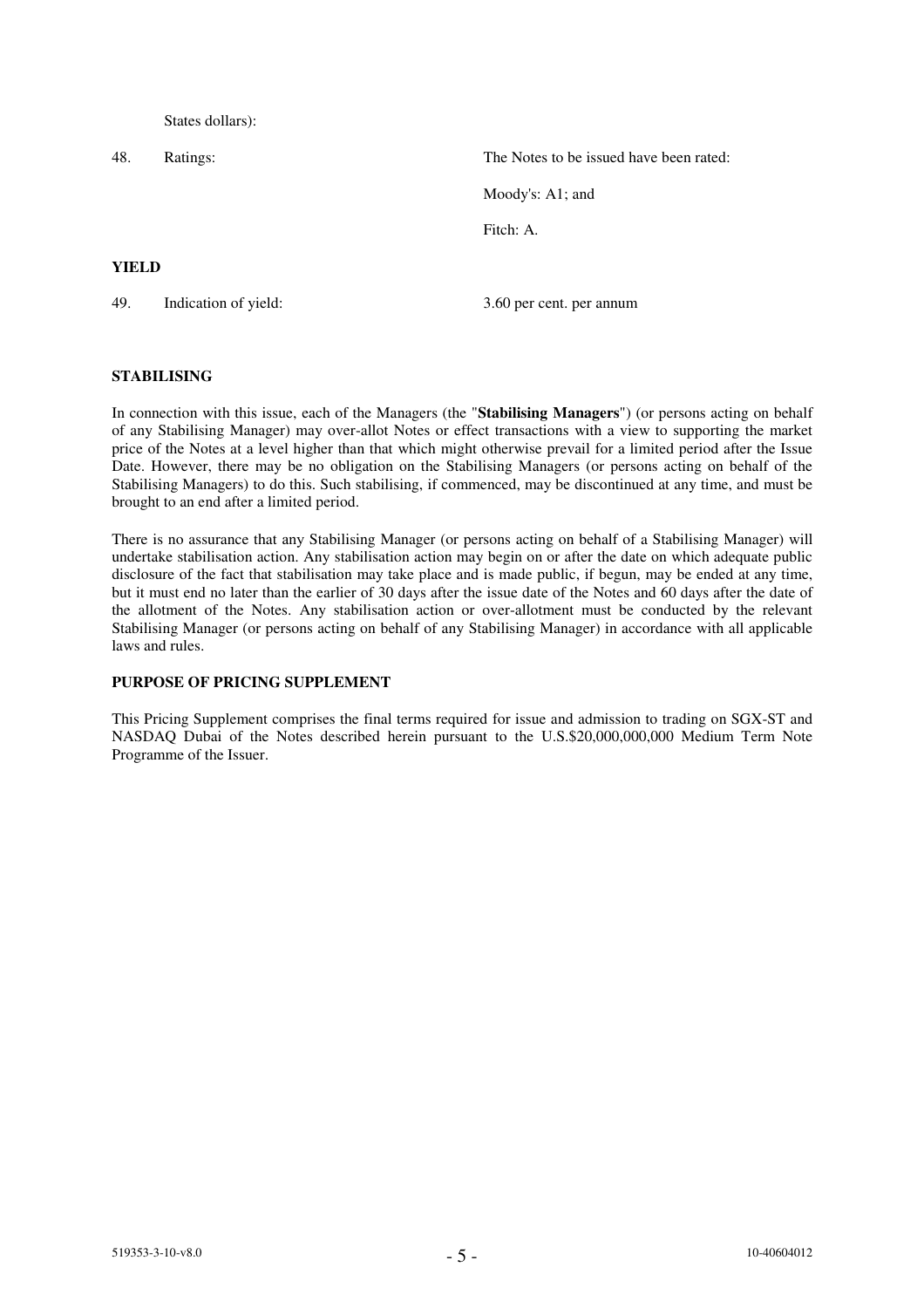States dollars):

48. Ratings: The Notes to be issued have been rated: Moody's: A1; and Fitch: A. **YIELD** 49. Indication of yield: 3.60 per cent. per annum

### **STABILISING**

In connection with this issue, each of the Managers (the "**Stabilising Managers**") (or persons acting on behalf of any Stabilising Manager) may over-allot Notes or effect transactions with a view to supporting the market price of the Notes at a level higher than that which might otherwise prevail for a limited period after the Issue Date. However, there may be no obligation on the Stabilising Managers (or persons acting on behalf of the Stabilising Managers) to do this. Such stabilising, if commenced, may be discontinued at any time, and must be brought to an end after a limited period.

There is no assurance that any Stabilising Manager (or persons acting on behalf of a Stabilising Manager) will undertake stabilisation action. Any stabilisation action may begin on or after the date on which adequate public disclosure of the fact that stabilisation may take place and is made public, if begun, may be ended at any time, but it must end no later than the earlier of 30 days after the issue date of the Notes and 60 days after the date of the allotment of the Notes. Any stabilisation action or over-allotment must be conducted by the relevant Stabilising Manager (or persons acting on behalf of any Stabilising Manager) in accordance with all applicable laws and rules.

# **PURPOSE OF PRICING SUPPLEMENT**

This Pricing Supplement comprises the final terms required for issue and admission to trading on SGX-ST and NASDAQ Dubai of the Notes described herein pursuant to the U.S.\$20,000,000,000 Medium Term Note Programme of the Issuer.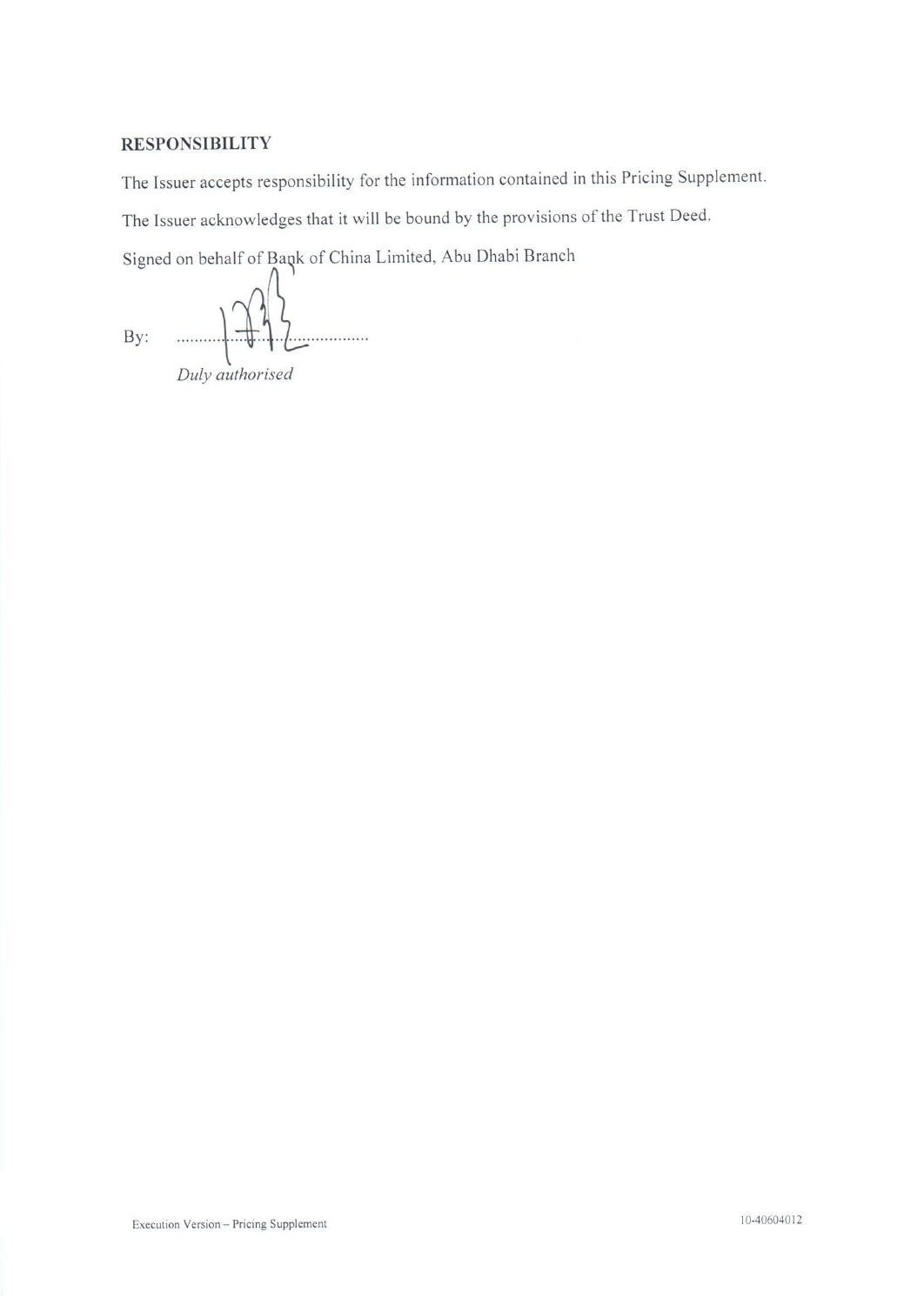# **RESPONSIBILITY**

The Issuer accepts responsibility for the information contained in this Pricing Supplement.

The Issuer acknowledges that it will be bound by the provisions of the Trust Deed.

Signed on behalf of Bank of China Limited, Abu Dhabi Branch

By: ! . . . . . . . . . . . . . . . . . .

Duly authorised